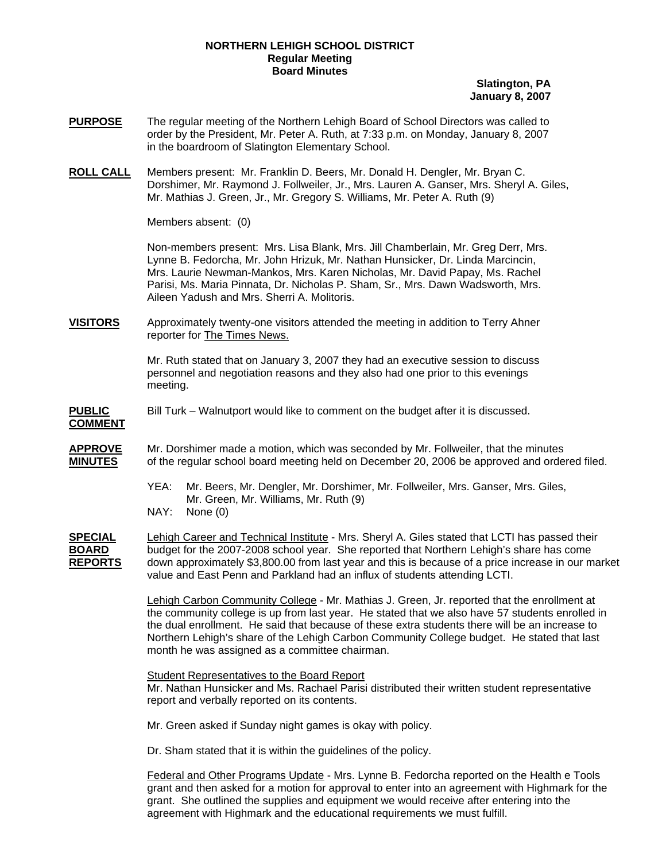## **NORTHERN LEHIGH SCHOOL DISTRICT Regular Meeting Board Minutes**

## **Slatington, PA January 8, 2007**

- **PURPOSE** The regular meeting of the Northern Lehigh Board of School Directors was called to order by the President, Mr. Peter A. Ruth, at 7:33 p.m. on Monday, January 8, 2007 in the boardroom of Slatington Elementary School.
- **ROLL CALL** Members present: Mr. Franklin D. Beers, Mr. Donald H. Dengler, Mr. Bryan C. Dorshimer, Mr. Raymond J. Follweiler, Jr., Mrs. Lauren A. Ganser, Mrs. Sheryl A. Giles, Mr. Mathias J. Green, Jr., Mr. Gregory S. Williams, Mr. Peter A. Ruth (9)

Members absent: (0)

Non-members present: Mrs. Lisa Blank, Mrs. Jill Chamberlain, Mr. Greg Derr, Mrs. Lynne B. Fedorcha, Mr. John Hrizuk, Mr. Nathan Hunsicker, Dr. Linda Marcincin, Mrs. Laurie Newman-Mankos, Mrs. Karen Nicholas, Mr. David Papay, Ms. Rachel Parisi, Ms. Maria Pinnata, Dr. Nicholas P. Sham, Sr., Mrs. Dawn Wadsworth, Mrs. Aileen Yadush and Mrs. Sherri A. Molitoris.

**VISITORS** Approximately twenty-one visitors attended the meeting in addition to Terry Ahner reporter for The Times News.

> Mr. Ruth stated that on January 3, 2007 they had an executive session to discuss personnel and negotiation reasons and they also had one prior to this evenings meeting.

**PUBLIC** Bill Turk – Walnutport would like to comment on the budget after it is discussed.

**COMMENT**

- **APPROVE** Mr. Dorshimer made a motion, which was seconded by Mr. Follweiler, that the minutes **MINUTES** of the regular school board meeting held on December 20, 2006 be approved and ordered filed.
	- YEA: Mr. Beers, Mr. Dengler, Mr. Dorshimer, Mr. Follweiler, Mrs. Ganser, Mrs. Giles, Mr. Green, Mr. Williams, Mr. Ruth (9)
	- NAY: None (0)

**SPECIAL** Lehigh Career and Technical Institute - Mrs. Sheryl A. Giles stated that LCTI has passed their **BOARD** budget for the 2007-2008 school year. She reported that Northern Lehigh's share has come **REPORTS** down approximately \$3,800.00 from last year and this is because of a price increase in our market value and East Penn and Parkland had an influx of students attending LCTI.

> Lehigh Carbon Community College - Mr. Mathias J. Green, Jr. reported that the enrollment at the community college is up from last year. He stated that we also have 57 students enrolled in the dual enrollment. He said that because of these extra students there will be an increase to Northern Lehigh's share of the Lehigh Carbon Community College budget. He stated that last month he was assigned as a committee chairman.

Student Representatives to the Board Report Mr. Nathan Hunsicker and Ms. Rachael Parisi distributed their written student representative report and verbally reported on its contents.

Mr. Green asked if Sunday night games is okay with policy.

Dr. Sham stated that it is within the guidelines of the policy.

Federal and Other Programs Update - Mrs. Lynne B. Fedorcha reported on the Health e Tools grant and then asked for a motion for approval to enter into an agreement with Highmark for the grant. She outlined the supplies and equipment we would receive after entering into the agreement with Highmark and the educational requirements we must fulfill.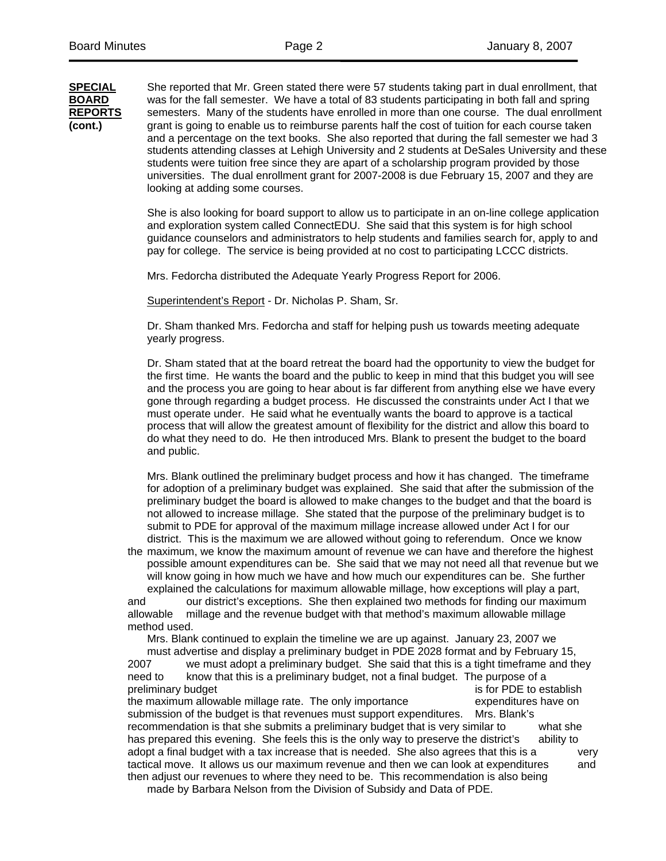**SPECIAL** She reported that Mr. Green stated there were 57 students taking part in dual enrollment, that **BOARD** was for the fall semester. We have a total of 83 students participating in both fall and spring **REPORTS** semesters. Many of the students have enrolled in more than one course. The dual enrollment **(cont.)** grant is going to enable us to reimburse parents half the cost of tuition for each course taken and a percentage on the text books. She also reported that during the fall semester we had 3 students attending classes at Lehigh University and 2 students at DeSales University and these students were tuition free since they are apart of a scholarship program provided by those universities. The dual enrollment grant for 2007-2008 is due February 15, 2007 and they are looking at adding some courses.

> She is also looking for board support to allow us to participate in an on-line college application and exploration system called ConnectEDU. She said that this system is for high school guidance counselors and administrators to help students and families search for, apply to and pay for college. The service is being provided at no cost to participating LCCC districts.

Mrs. Fedorcha distributed the Adequate Yearly Progress Report for 2006.

Superintendent's Report - Dr. Nicholas P. Sham, Sr.

 Dr. Sham thanked Mrs. Fedorcha and staff for helping push us towards meeting adequate yearly progress.

 Dr. Sham stated that at the board retreat the board had the opportunity to view the budget for the first time. He wants the board and the public to keep in mind that this budget you will see and the process you are going to hear about is far different from anything else we have every gone through regarding a budget process. He discussed the constraints under Act I that we must operate under. He said what he eventually wants the board to approve is a tactical process that will allow the greatest amount of flexibility for the district and allow this board to do what they need to do. He then introduced Mrs. Blank to present the budget to the board and public.

 Mrs. Blank outlined the preliminary budget process and how it has changed. The timeframe for adoption of a preliminary budget was explained. She said that after the submission of the preliminary budget the board is allowed to make changes to the budget and that the board is not allowed to increase millage. She stated that the purpose of the preliminary budget is to submit to PDE for approval of the maximum millage increase allowed under Act I for our district. This is the maximum we are allowed without going to referendum. Once we know

the maximum, we know the maximum amount of revenue we can have and therefore the highest possible amount expenditures can be. She said that we may not need all that revenue but we will know going in how much we have and how much our expenditures can be. She further explained the calculations for maximum allowable millage, how exceptions will play a part,

and our district's exceptions. She then explained two methods for finding our maximum allowable millage and the revenue budget with that method's maximum allowable millage method used.

Mrs. Blank continued to explain the timeline we are up against. January 23, 2007 we

 must advertise and display a preliminary budget in PDE 2028 format and by February 15, 2007 we must adopt a preliminary budget. She said that this is a tight timeframe and they need to know that this is a preliminary budget, not a final budget. The purpose of a preliminary budget is for PDE to establish the maximum allowable millage rate. The only importance expenditures have on submission of the budget is that revenues must support expenditures. Mrs. Blank's recommendation is that she submits a preliminary budget that is very similar to what she has prepared this evening. She feels this is the only way to preserve the district's ability to adopt a final budget with a tax increase that is needed. She also agrees that this is a very tactical move. It allows us our maximum revenue and then we can look at expenditures and then adjust our revenues to where they need to be. This recommendation is also being

made by Barbara Nelson from the Division of Subsidy and Data of PDE.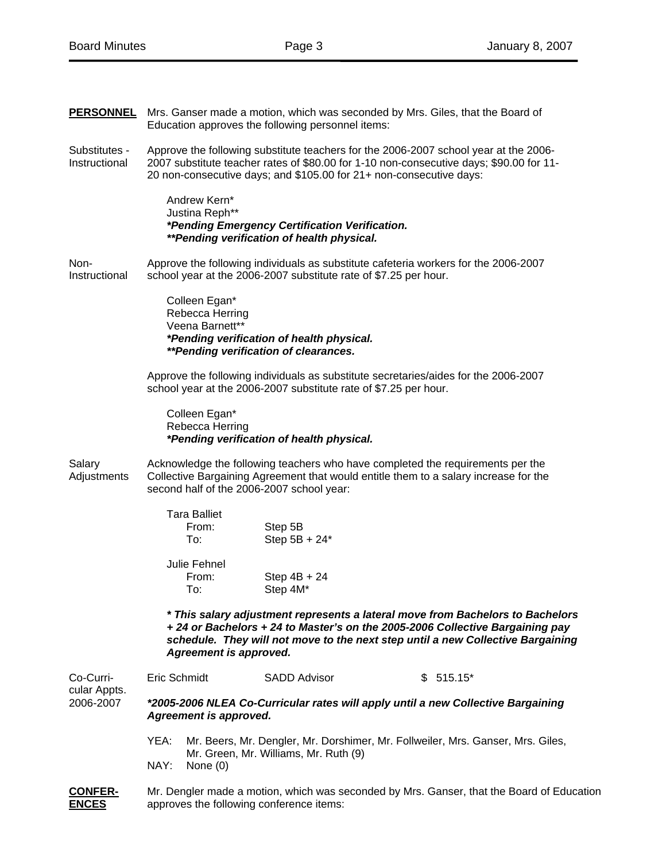| <b>PERSONNEL</b>               | Mrs. Ganser made a motion, which was seconded by Mrs. Giles, that the Board of<br>Education approves the following personnel items:                                                                                                                                        |  |  |  |
|--------------------------------|----------------------------------------------------------------------------------------------------------------------------------------------------------------------------------------------------------------------------------------------------------------------------|--|--|--|
| Substitutes -<br>Instructional | Approve the following substitute teachers for the 2006-2007 school year at the 2006-<br>2007 substitute teacher rates of \$80.00 for 1-10 non-consecutive days; \$90.00 for 11-<br>20 non-consecutive days; and \$105.00 for 21+ non-consecutive days:                     |  |  |  |
|                                | Andrew Kern*<br>Justina Reph**<br>*Pending Emergency Certification Verification.<br>**Pending verification of health physical.                                                                                                                                             |  |  |  |
| Non-<br>Instructional          | Approve the following individuals as substitute cafeteria workers for the 2006-2007<br>school year at the 2006-2007 substitute rate of \$7.25 per hour.                                                                                                                    |  |  |  |
|                                | Colleen Egan*<br>Rebecca Herring<br>Veena Barnett**<br>*Pending verification of health physical.<br>**Pending verification of clearances.                                                                                                                                  |  |  |  |
|                                | Approve the following individuals as substitute secretaries/aides for the 2006-2007<br>school year at the 2006-2007 substitute rate of \$7.25 per hour.                                                                                                                    |  |  |  |
|                                | Colleen Egan*<br>Rebecca Herring<br>*Pending verification of health physical.                                                                                                                                                                                              |  |  |  |
| Salary<br>Adjustments          | Acknowledge the following teachers who have completed the requirements per the<br>Collective Bargaining Agreement that would entitle them to a salary increase for the<br>second half of the 2006-2007 school year:                                                        |  |  |  |
|                                | <b>Tara Balliet</b><br>Step 5B<br>From:<br>Step 5B + 24*<br>To:                                                                                                                                                                                                            |  |  |  |
|                                | Julie Fehnel<br>From:<br>Step $4B + 24$<br>Step 4M*<br>To:                                                                                                                                                                                                                 |  |  |  |
|                                | * This salary adjustment represents a lateral move from Bachelors to Bachelors<br>+24 or Bachelors +24 to Master's on the 2005-2006 Collective Bargaining pay<br>schedule. They will not move to the next step until a new Collective Bargaining<br>Agreement is approved. |  |  |  |
| Co-Curri-                      | Eric Schmidt<br><b>SADD Advisor</b><br>\$515.15                                                                                                                                                                                                                            |  |  |  |
| cular Appts.<br>2006-2007      | *2005-2006 NLEA Co-Curricular rates will apply until a new Collective Bargaining<br><b>Agreement is approved.</b>                                                                                                                                                          |  |  |  |
|                                | Mr. Beers, Mr. Dengler, Mr. Dorshimer, Mr. Follweiler, Mrs. Ganser, Mrs. Giles,<br>YEA:                                                                                                                                                                                    |  |  |  |
|                                | Mr. Green, Mr. Williams, Mr. Ruth (9)<br>NAY:<br>None $(0)$                                                                                                                                                                                                                |  |  |  |
| CONFFR-                        | Mr. Dengler made a motion, which was seconded by Mrs. Ganser, that the Board of Educa                                                                                                                                                                                      |  |  |  |

**CONFER-** Mr. Dengler made a motion, which was seconded by Mrs. Ganser, that the Board of Education<br>**ENCES** approves the following conference items: approves the following conference items: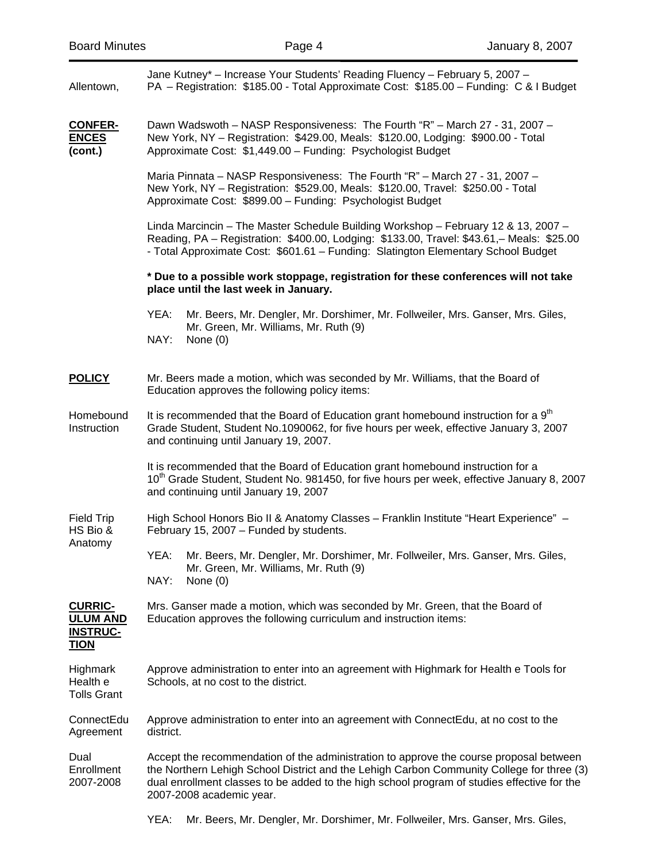| Allentown,                                                          | Jane Kutney* - Increase Your Students' Reading Fluency - February 5, 2007 -<br>PA - Registration: \$185.00 - Total Approximate Cost: \$185.00 - Funding: C & I Budget                                                                                                                                          |  |  |  |
|---------------------------------------------------------------------|----------------------------------------------------------------------------------------------------------------------------------------------------------------------------------------------------------------------------------------------------------------------------------------------------------------|--|--|--|
| <b>CONFER-</b><br><b>ENCES</b><br>(cont.)                           | Dawn Wadswoth - NASP Responsiveness: The Fourth "R" - March 27 - 31, 2007 -<br>New York, NY - Registration: \$429.00, Meals: \$120.00, Lodging: \$900.00 - Total<br>Approximate Cost: \$1,449.00 - Funding: Psychologist Budget                                                                                |  |  |  |
|                                                                     | Maria Pinnata - NASP Responsiveness: The Fourth "R" - March 27 - 31, 2007 -<br>New York, NY - Registration: \$529.00, Meals: \$120.00, Travel: \$250.00 - Total<br>Approximate Cost: \$899.00 - Funding: Psychologist Budget                                                                                   |  |  |  |
|                                                                     | Linda Marcincin - The Master Schedule Building Workshop - February 12 & 13, 2007 -<br>Reading, PA - Registration: \$400.00, Lodging: \$133.00, Travel: \$43.61, - Meals: \$25.00<br>- Total Approximate Cost: \$601.61 - Funding: Slatington Elementary School Budget                                          |  |  |  |
|                                                                     | * Due to a possible work stoppage, registration for these conferences will not take<br>place until the last week in January.                                                                                                                                                                                   |  |  |  |
|                                                                     | YEA:<br>Mr. Beers, Mr. Dengler, Mr. Dorshimer, Mr. Follweiler, Mrs. Ganser, Mrs. Giles,<br>Mr. Green, Mr. Williams, Mr. Ruth (9)<br>NAY:<br>None $(0)$                                                                                                                                                         |  |  |  |
| <b>POLICY</b>                                                       | Mr. Beers made a motion, which was seconded by Mr. Williams, that the Board of<br>Education approves the following policy items:                                                                                                                                                                               |  |  |  |
| Homebound<br>Instruction                                            | It is recommended that the Board of Education grant homebound instruction for a 9 <sup>th</sup><br>Grade Student, Student No.1090062, for five hours per week, effective January 3, 2007<br>and continuing until January 19, 2007.                                                                             |  |  |  |
|                                                                     | It is recommended that the Board of Education grant homebound instruction for a<br>10 <sup>th</sup> Grade Student, Student No. 981450, for five hours per week, effective January 8, 2007<br>and continuing until January 19, 2007                                                                             |  |  |  |
| <b>Field Trip</b><br>HS Bio &<br>Anatomy                            | High School Honors Bio II & Anatomy Classes - Franklin Institute "Heart Experience" -<br>February 15, 2007 - Funded by students.                                                                                                                                                                               |  |  |  |
|                                                                     | YEA: Mr. Beers, Mr. Dengler, Mr. Dorshimer, Mr. Follweiler, Mrs. Ganser, Mrs. Giles,<br>Mr. Green, Mr. Williams, Mr. Ruth (9)<br>NAY:<br>None $(0)$                                                                                                                                                            |  |  |  |
| <b>CURRIC-</b><br><b>ULUM AND</b><br><b>INSTRUC-</b><br><b>TION</b> | Mrs. Ganser made a motion, which was seconded by Mr. Green, that the Board of<br>Education approves the following curriculum and instruction items:                                                                                                                                                            |  |  |  |
| Highmark<br>Health e<br><b>Tolls Grant</b>                          | Approve administration to enter into an agreement with Highmark for Health e Tools for<br>Schools, at no cost to the district.                                                                                                                                                                                 |  |  |  |
| ConnectEdu<br>Agreement                                             | Approve administration to enter into an agreement with ConnectEdu, at no cost to the<br>district.                                                                                                                                                                                                              |  |  |  |
| Dual<br>Enrollment<br>2007-2008                                     | Accept the recommendation of the administration to approve the course proposal between<br>the Northern Lehigh School District and the Lehigh Carbon Community College for three (3)<br>dual enrollment classes to be added to the high school program of studies effective for the<br>2007-2008 academic year. |  |  |  |

YEA: Mr. Beers, Mr. Dengler, Mr. Dorshimer, Mr. Follweiler, Mrs. Ganser, Mrs. Giles,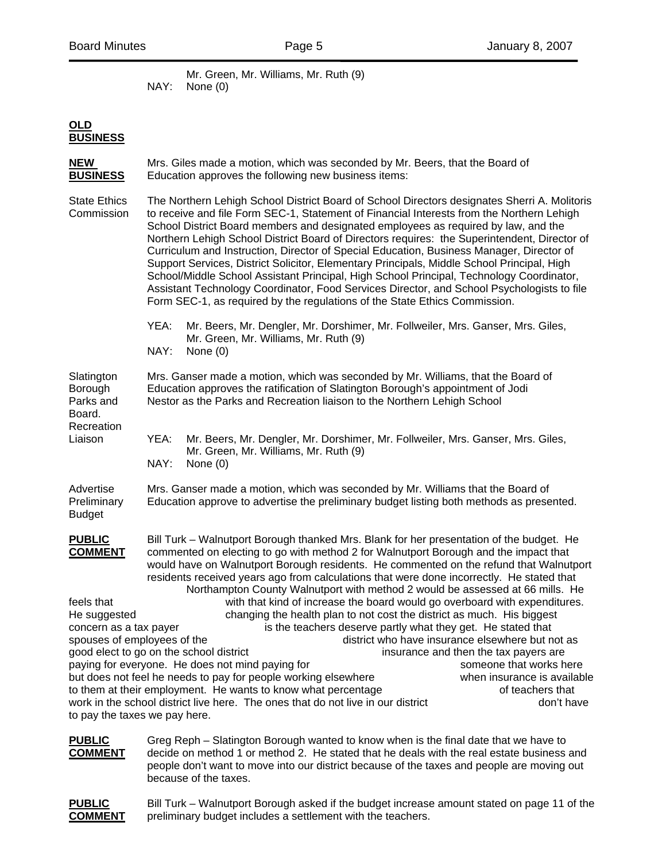Mr. Green, Mr. Williams, Mr. Ruth (9) NAY: None (0)

## **OLD BUSINESS**

| Mrs. Giles made a motion, which was seconded by Mr. Beers, that the Board of<br>Education approves the following new business items:                                                                                                                                                                                                                                                                                                                                                                                                                                                                                                                                                                                                                                                                                                                                                                                                                                                                                                                                                                                                                                                                                                                                                      |  |  |
|-------------------------------------------------------------------------------------------------------------------------------------------------------------------------------------------------------------------------------------------------------------------------------------------------------------------------------------------------------------------------------------------------------------------------------------------------------------------------------------------------------------------------------------------------------------------------------------------------------------------------------------------------------------------------------------------------------------------------------------------------------------------------------------------------------------------------------------------------------------------------------------------------------------------------------------------------------------------------------------------------------------------------------------------------------------------------------------------------------------------------------------------------------------------------------------------------------------------------------------------------------------------------------------------|--|--|
| The Northern Lehigh School District Board of School Directors designates Sherri A. Molitoris<br>to receive and file Form SEC-1, Statement of Financial Interests from the Northern Lehigh<br>School District Board members and designated employees as required by law, and the<br>Northern Lehigh School District Board of Directors requires: the Superintendent, Director of<br>Curriculum and Instruction, Director of Special Education, Business Manager, Director of<br>Support Services, District Solicitor, Elementary Principals, Middle School Principal, High<br>School/Middle School Assistant Principal, High School Principal, Technology Coordinator,<br>Assistant Technology Coordinator, Food Services Director, and School Psychologists to file<br>Form SEC-1, as required by the regulations of the State Ethics Commission.                                                                                                                                                                                                                                                                                                                                                                                                                                         |  |  |
| YEA:<br>Mr. Beers, Mr. Dengler, Mr. Dorshimer, Mr. Follweiler, Mrs. Ganser, Mrs. Giles,<br>Mr. Green, Mr. Williams, Mr. Ruth (9)<br>NAY:<br>None $(0)$                                                                                                                                                                                                                                                                                                                                                                                                                                                                                                                                                                                                                                                                                                                                                                                                                                                                                                                                                                                                                                                                                                                                    |  |  |
| Mrs. Ganser made a motion, which was seconded by Mr. Williams, that the Board of<br>Education approves the ratification of Slatington Borough's appointment of Jodi<br>Nestor as the Parks and Recreation liaison to the Northern Lehigh School                                                                                                                                                                                                                                                                                                                                                                                                                                                                                                                                                                                                                                                                                                                                                                                                                                                                                                                                                                                                                                           |  |  |
| YEA:<br>Mr. Beers, Mr. Dengler, Mr. Dorshimer, Mr. Follweiler, Mrs. Ganser, Mrs. Giles,<br>Mr. Green, Mr. Williams, Mr. Ruth (9)<br>NAY:<br>None $(0)$                                                                                                                                                                                                                                                                                                                                                                                                                                                                                                                                                                                                                                                                                                                                                                                                                                                                                                                                                                                                                                                                                                                                    |  |  |
| Mrs. Ganser made a motion, which was seconded by Mr. Williams that the Board of<br>Education approve to advertise the preliminary budget listing both methods as presented.                                                                                                                                                                                                                                                                                                                                                                                                                                                                                                                                                                                                                                                                                                                                                                                                                                                                                                                                                                                                                                                                                                               |  |  |
| Bill Turk – Walnutport Borough thanked Mrs. Blank for her presentation of the budget. He<br>commented on electing to go with method 2 for Walnutport Borough and the impact that<br>would have on Walnutport Borough residents. He commented on the refund that Walnutport<br>residents received years ago from calculations that were done incorrectly. He stated that<br>Northampton County Walnutport with method 2 would be assessed at 66 mills. He<br>with that kind of increase the board would go overboard with expenditures.<br>changing the health plan to not cost the district as much. His biggest<br>is the teachers deserve partly what they get. He stated that<br>concern as a tax payer<br>spouses of employees of the<br>district who have insurance elsewhere but not as<br>good elect to go on the school district<br>insurance and then the tax payers are<br>paying for everyone. He does not mind paying for<br>someone that works here<br>but does not feel he needs to pay for people working elsewhere<br>when insurance is available<br>to them at their employment. He wants to know what percentage<br>of teachers that<br>work in the school district live here. The ones that do not live in our district<br>don't have<br>to pay the taxes we pay here. |  |  |
|                                                                                                                                                                                                                                                                                                                                                                                                                                                                                                                                                                                                                                                                                                                                                                                                                                                                                                                                                                                                                                                                                                                                                                                                                                                                                           |  |  |

**PUBLIC** Greg Reph – Slatington Borough wanted to know when is the final date that we have to **COMMENT** decide on method 1 or method 2. He stated that he deals with the real estate business decide on method 1 or method 2. He stated that he deals with the real estate business and people don't want to move into our district because of the taxes and people are moving out because of the taxes.

**PUBLIC** Bill Turk – Walnutport Borough asked if the budget increase amount stated on page 11 of the **COMMENT** preliminary budget includes a settlement with the teachers.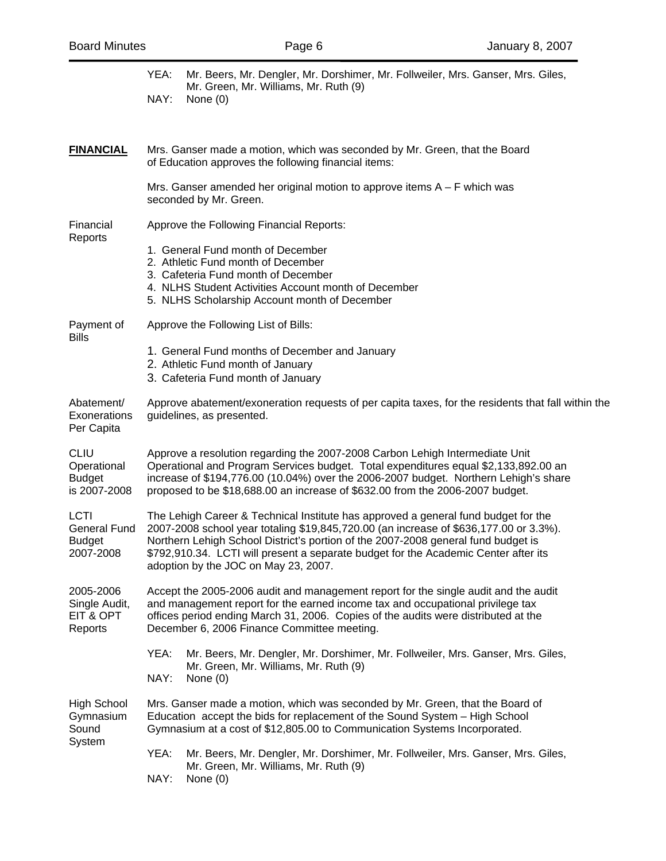|                                                                  | YEA:                                                                                                                                                                                                                                                                                                                                                                                            | Mr. Beers, Mr. Dengler, Mr. Dorshimer, Mr. Follweiler, Mrs. Ganser, Mrs. Giles,<br>Mr. Green, Mr. Williams, Mr. Ruth (9)                                                                                                                                                                                   |  |  |  |
|------------------------------------------------------------------|-------------------------------------------------------------------------------------------------------------------------------------------------------------------------------------------------------------------------------------------------------------------------------------------------------------------------------------------------------------------------------------------------|------------------------------------------------------------------------------------------------------------------------------------------------------------------------------------------------------------------------------------------------------------------------------------------------------------|--|--|--|
|                                                                  | NAY:                                                                                                                                                                                                                                                                                                                                                                                            | None $(0)$                                                                                                                                                                                                                                                                                                 |  |  |  |
|                                                                  |                                                                                                                                                                                                                                                                                                                                                                                                 |                                                                                                                                                                                                                                                                                                            |  |  |  |
| <b>FINANCIAL</b>                                                 | Mrs. Ganser made a motion, which was seconded by Mr. Green, that the Board<br>of Education approves the following financial items:                                                                                                                                                                                                                                                              |                                                                                                                                                                                                                                                                                                            |  |  |  |
|                                                                  |                                                                                                                                                                                                                                                                                                                                                                                                 | Mrs. Ganser amended her original motion to approve items $A - F$ which was<br>seconded by Mr. Green.                                                                                                                                                                                                       |  |  |  |
| Financial<br>Reports                                             | Approve the Following Financial Reports:                                                                                                                                                                                                                                                                                                                                                        |                                                                                                                                                                                                                                                                                                            |  |  |  |
|                                                                  |                                                                                                                                                                                                                                                                                                                                                                                                 | 1. General Fund month of December<br>2. Athletic Fund month of December<br>3. Cafeteria Fund month of December<br>4. NLHS Student Activities Account month of December<br>5. NLHS Scholarship Account month of December                                                                                    |  |  |  |
| Payment of<br>Bills                                              |                                                                                                                                                                                                                                                                                                                                                                                                 | Approve the Following List of Bills:                                                                                                                                                                                                                                                                       |  |  |  |
|                                                                  |                                                                                                                                                                                                                                                                                                                                                                                                 | 1. General Fund months of December and January<br>2. Athletic Fund month of January<br>3. Cafeteria Fund month of January                                                                                                                                                                                  |  |  |  |
| Abatement/<br>Exonerations<br>Per Capita                         | Approve abatement/exoneration requests of per capita taxes, for the residents that fall within the<br>guidelines, as presented.                                                                                                                                                                                                                                                                 |                                                                                                                                                                                                                                                                                                            |  |  |  |
| CLIU<br>Operational<br><b>Budget</b><br>is 2007-2008             | Approve a resolution regarding the 2007-2008 Carbon Lehigh Intermediate Unit<br>Operational and Program Services budget. Total expenditures equal \$2,133,892.00 an<br>increase of \$194,776.00 (10.04%) over the 2006-2007 budget. Northern Lehigh's share<br>proposed to be \$18,688.00 an increase of \$632.00 from the 2006-2007 budget.                                                    |                                                                                                                                                                                                                                                                                                            |  |  |  |
| <b>LCTI</b><br><b>General Fund</b><br><b>Budget</b><br>2007-2008 | The Lehigh Career & Technical Institute has approved a general fund budget for the<br>2007-2008 school year totaling \$19,845,720.00 (an increase of \$636,177.00 or 3.3%).<br>Northern Lehigh School District's portion of the 2007-2008 general fund budget is<br>\$792,910.34. LCTI will present a separate budget for the Academic Center after its<br>adoption by the JOC on May 23, 2007. |                                                                                                                                                                                                                                                                                                            |  |  |  |
| 2005-2006<br>Single Audit,<br>EIT & OPT<br>Reports               |                                                                                                                                                                                                                                                                                                                                                                                                 | Accept the 2005-2006 audit and management report for the single audit and the audit<br>and management report for the earned income tax and occupational privilege tax<br>offices period ending March 31, 2006. Copies of the audits were distributed at the<br>December 6, 2006 Finance Committee meeting. |  |  |  |
|                                                                  | YEA:<br>NAY:                                                                                                                                                                                                                                                                                                                                                                                    | Mr. Beers, Mr. Dengler, Mr. Dorshimer, Mr. Follweiler, Mrs. Ganser, Mrs. Giles,<br>Mr. Green, Mr. Williams, Mr. Ruth (9)<br>None $(0)$                                                                                                                                                                     |  |  |  |
| High School<br>Gymnasium<br>Sound<br>System                      | Mrs. Ganser made a motion, which was seconded by Mr. Green, that the Board of<br>Education accept the bids for replacement of the Sound System - High School<br>Gymnasium at a cost of \$12,805.00 to Communication Systems Incorporated.                                                                                                                                                       |                                                                                                                                                                                                                                                                                                            |  |  |  |
|                                                                  | YEA:<br>NAY:                                                                                                                                                                                                                                                                                                                                                                                    | Mr. Beers, Mr. Dengler, Mr. Dorshimer, Mr. Follweiler, Mrs. Ganser, Mrs. Giles,<br>Mr. Green, Mr. Williams, Mr. Ruth (9)<br>None $(0)$                                                                                                                                                                     |  |  |  |